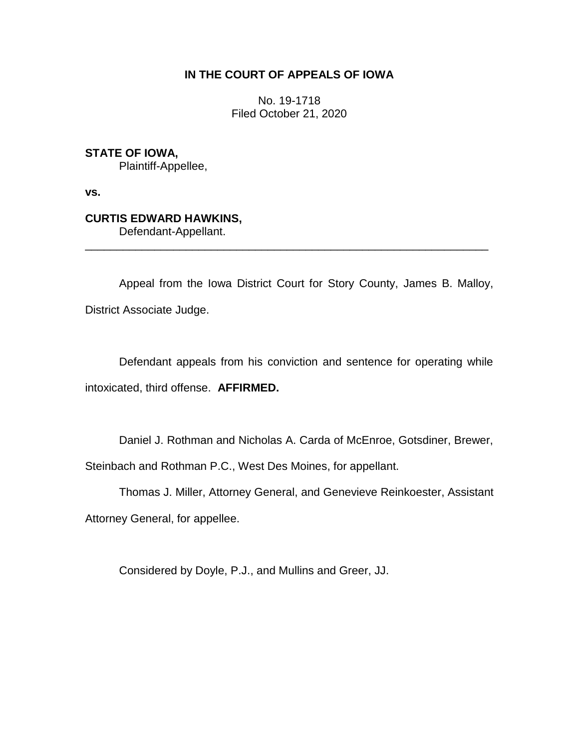# **IN THE COURT OF APPEALS OF IOWA**

No. 19-1718 Filed October 21, 2020

**STATE OF IOWA,**

Plaintiff-Appellee,

**vs.**

# **CURTIS EDWARD HAWKINS,**

Defendant-Appellant.

Appeal from the Iowa District Court for Story County, James B. Malloy, District Associate Judge.

\_\_\_\_\_\_\_\_\_\_\_\_\_\_\_\_\_\_\_\_\_\_\_\_\_\_\_\_\_\_\_\_\_\_\_\_\_\_\_\_\_\_\_\_\_\_\_\_\_\_\_\_\_\_\_\_\_\_\_\_\_\_\_\_

Defendant appeals from his conviction and sentence for operating while intoxicated, third offense. **AFFIRMED.**

Daniel J. Rothman and Nicholas A. Carda of McEnroe, Gotsdiner, Brewer,

Steinbach and Rothman P.C., West Des Moines, for appellant.

Thomas J. Miller, Attorney General, and Genevieve Reinkoester, Assistant

Attorney General, for appellee.

Considered by Doyle, P.J., and Mullins and Greer, JJ.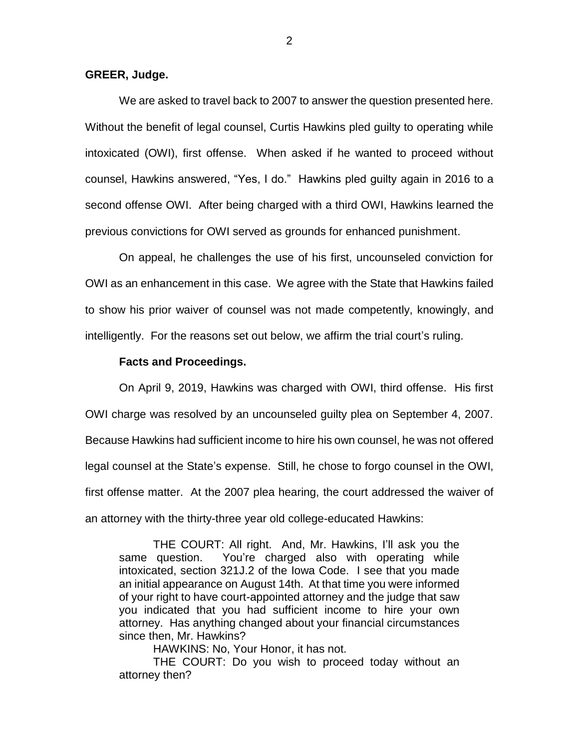#### **GREER, Judge.**

We are asked to travel back to 2007 to answer the question presented here. Without the benefit of legal counsel, Curtis Hawkins pled guilty to operating while intoxicated (OWI), first offense. When asked if he wanted to proceed without counsel, Hawkins answered, "Yes, I do." Hawkins pled guilty again in 2016 to a second offense OWI. After being charged with a third OWI, Hawkins learned the previous convictions for OWI served as grounds for enhanced punishment.

On appeal, he challenges the use of his first, uncounseled conviction for OWI as an enhancement in this case. We agree with the State that Hawkins failed to show his prior waiver of counsel was not made competently, knowingly, and intelligently. For the reasons set out below, we affirm the trial court's ruling.

#### **Facts and Proceedings.**

On April 9, 2019, Hawkins was charged with OWI, third offense. His first OWI charge was resolved by an uncounseled guilty plea on September 4, 2007. Because Hawkins had sufficient income to hire his own counsel, he was not offered legal counsel at the State's expense. Still, he chose to forgo counsel in the OWI, first offense matter. At the 2007 plea hearing, the court addressed the waiver of an attorney with the thirty-three year old college-educated Hawkins:

THE COURT: All right. And, Mr. Hawkins, I'll ask you the same question. You're charged also with operating while intoxicated, section 321J.2 of the Iowa Code. I see that you made an initial appearance on August 14th. At that time you were informed of your right to have court-appointed attorney and the judge that saw you indicated that you had sufficient income to hire your own attorney. Has anything changed about your financial circumstances since then, Mr. Hawkins?

HAWKINS: No, Your Honor, it has not.

THE COURT: Do you wish to proceed today without an attorney then?

2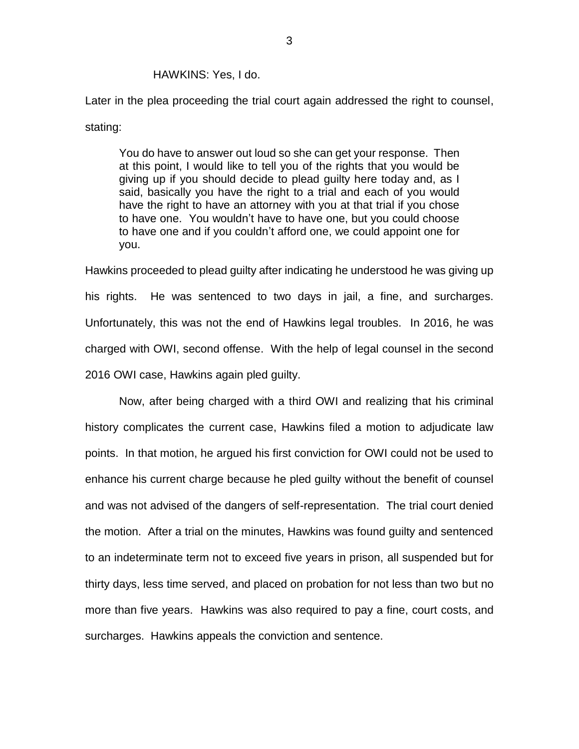#### HAWKINS: Yes, I do.

Later in the plea proceeding the trial court again addressed the right to counsel, stating:

You do have to answer out loud so she can get your response. Then at this point, I would like to tell you of the rights that you would be giving up if you should decide to plead guilty here today and, as I said, basically you have the right to a trial and each of you would have the right to have an attorney with you at that trial if you chose to have one. You wouldn't have to have one, but you could choose to have one and if you couldn't afford one, we could appoint one for you.

Hawkins proceeded to plead guilty after indicating he understood he was giving up his rights. He was sentenced to two days in jail, a fine, and surcharges. Unfortunately, this was not the end of Hawkins legal troubles. In 2016, he was charged with OWI, second offense. With the help of legal counsel in the second 2016 OWI case, Hawkins again pled guilty.

Now, after being charged with a third OWI and realizing that his criminal history complicates the current case, Hawkins filed a motion to adjudicate law points. In that motion, he argued his first conviction for OWI could not be used to enhance his current charge because he pled guilty without the benefit of counsel and was not advised of the dangers of self-representation. The trial court denied the motion. After a trial on the minutes, Hawkins was found guilty and sentenced to an indeterminate term not to exceed five years in prison, all suspended but for thirty days, less time served, and placed on probation for not less than two but no more than five years. Hawkins was also required to pay a fine, court costs, and surcharges. Hawkins appeals the conviction and sentence.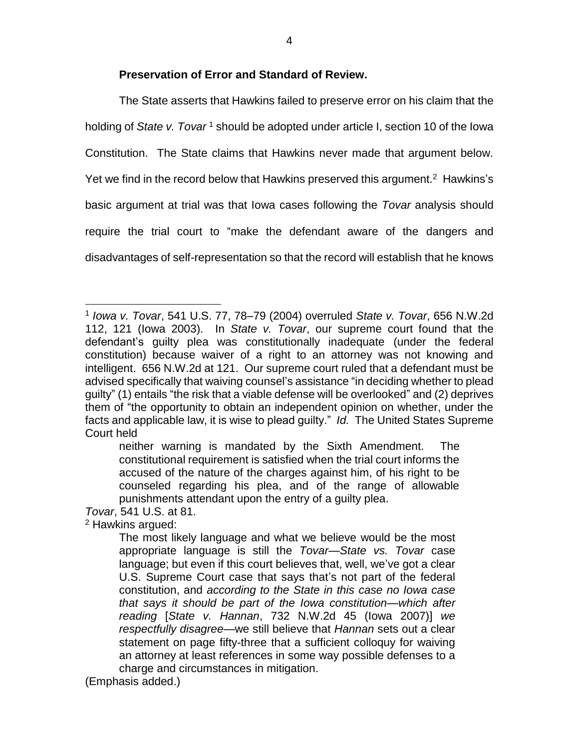## **Preservation of Error and Standard of Review.**

The State asserts that Hawkins failed to preserve error on his claim that the holding of *State v. Tovar* <sup>1</sup> should be adopted under article I, section 10 of the Iowa Constitution. The State claims that Hawkins never made that argument below. Yet we find in the record below that Hawkins preserved this argument.<sup>2</sup> Hawkins's basic argument at trial was that Iowa cases following the *Tovar* analysis should require the trial court to "make the defendant aware of the dangers and disadvantages of self-representation so that the record will establish that he knows

*Tovar*, 541 U.S. at 81.

<sup>2</sup> Hawkins argued:

 $\overline{a}$ 

(Emphasis added.)

<sup>1</sup> *Iowa v. Tovar*, 541 U.S. 77, 78–79 (2004) overruled *State v. Tovar*, 656 N.W.2d 112, 121 (Iowa 2003). In *State v. Tovar*, our supreme court found that the defendant's guilty plea was constitutionally inadequate (under the federal constitution) because waiver of a right to an attorney was not knowing and intelligent. 656 N.W.2d at 121. Our supreme court ruled that a defendant must be advised specifically that waiving counsel's assistance "in deciding whether to plead guilty" (1) entails "the risk that a viable defense will be overlooked" and (2) deprives them of "the opportunity to obtain an independent opinion on whether, under the facts and applicable law, it is wise to plead guilty." *Id.* The United States Supreme Court held

neither warning is mandated by the Sixth Amendment. The constitutional requirement is satisfied when the trial court informs the accused of the nature of the charges against him, of his right to be counseled regarding his plea, and of the range of allowable punishments attendant upon the entry of a guilty plea.

The most likely language and what we believe would be the most appropriate language is still the *Tovar—State vs. Tovar* case language; but even if this court believes that, well, we've got a clear U.S. Supreme Court case that says that's not part of the federal constitution, and *according to the State in this case no Iowa case that says it should be part of the Iowa constitution—which after reading* [*State v. Hannan*, 732 N.W.2d 45 (Iowa 2007)] *we respectfully disagree*—we still believe that *Hannan* sets out a clear statement on page fifty-three that a sufficient colloquy for waiving an attorney at least references in some way possible defenses to a charge and circumstances in mitigation.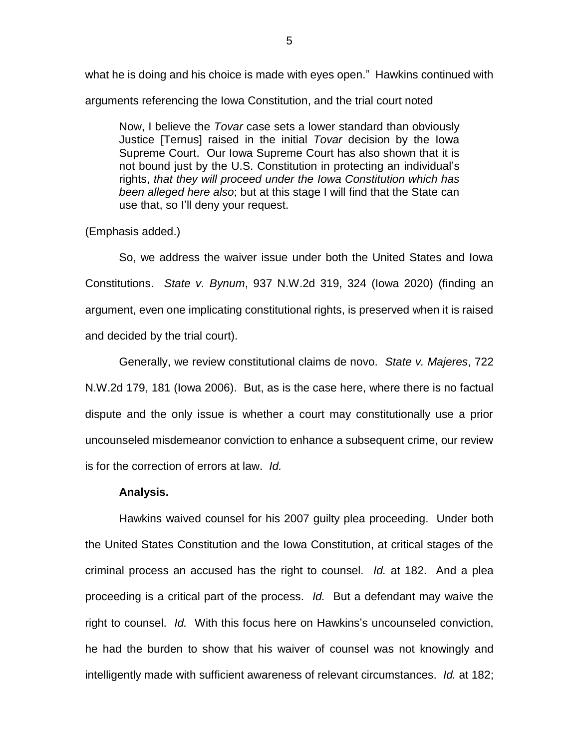what he is doing and his choice is made with eyes open." Hawkins continued with arguments referencing the Iowa Constitution, and the trial court noted

Now, I believe the *Tovar* case sets a lower standard than obviously Justice [Ternus] raised in the initial *Tovar* decision by the Iowa Supreme Court. Our Iowa Supreme Court has also shown that it is not bound just by the U.S. Constitution in protecting an individual's rights, *that they will proceed under the Iowa Constitution which has been alleged here also*; but at this stage I will find that the State can use that, so I'll deny your request.

### (Emphasis added.)

So, we address the waiver issue under both the United States and Iowa Constitutions. *State v. Bynum*, 937 N.W.2d 319, 324 (Iowa 2020) (finding an argument, even one implicating constitutional rights, is preserved when it is raised and decided by the trial court).

Generally, we review constitutional claims de novo. *State v. Majeres*, 722 N.W.2d 179, 181 (Iowa 2006). But, as is the case here, where there is no factual dispute and the only issue is whether a court may constitutionally use a prior uncounseled misdemeanor conviction to enhance a subsequent crime, our review is for the correction of errors at law. *Id.*

#### **Analysis.**

Hawkins waived counsel for his 2007 guilty plea proceeding. Under both the United States Constitution and the Iowa Constitution, at critical stages of the criminal process an accused has the right to counsel. *Id.* at 182. And a plea proceeding is a critical part of the process. *Id.* But a defendant may waive the right to counsel. *Id.* With this focus here on Hawkins's uncounseled conviction, he had the burden to show that his waiver of counsel was not knowingly and intelligently made with sufficient awareness of relevant circumstances. *Id.* at 182;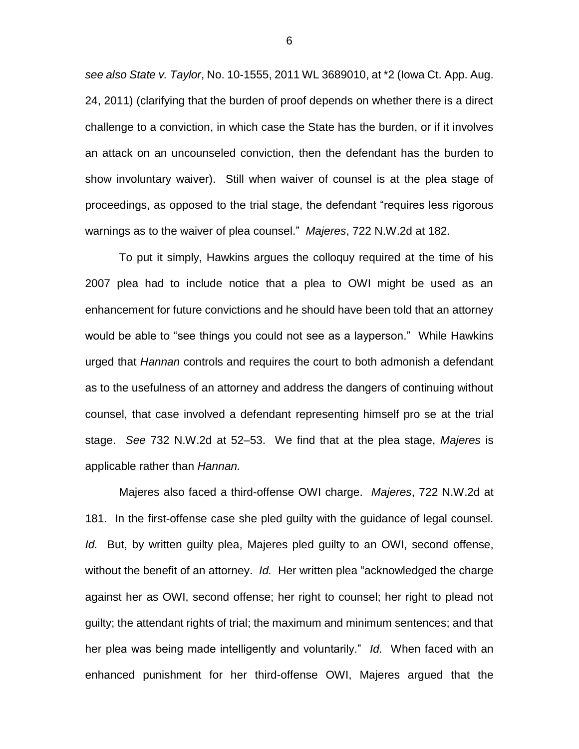*see also State v. Taylor*, No. 10-1555, 2011 WL 3689010, at \*2 (Iowa Ct. App. Aug. 24, 2011) (clarifying that the burden of proof depends on whether there is a direct challenge to a conviction, in which case the State has the burden, or if it involves an attack on an uncounseled conviction, then the defendant has the burden to show involuntary waiver). Still when waiver of counsel is at the plea stage of proceedings, as opposed to the trial stage, the defendant "requires less rigorous warnings as to the waiver of plea counsel." *Majeres*, 722 N.W.2d at 182.

To put it simply, Hawkins argues the colloquy required at the time of his 2007 plea had to include notice that a plea to OWI might be used as an enhancement for future convictions and he should have been told that an attorney would be able to "see things you could not see as a layperson." While Hawkins urged that *Hannan* controls and requires the court to both admonish a defendant as to the usefulness of an attorney and address the dangers of continuing without counsel, that case involved a defendant representing himself pro se at the trial stage. *See* 732 N.W.2d at 52–53. We find that at the plea stage, *Majeres* is applicable rather than *Hannan.*

Majeres also faced a third-offense OWI charge. *Majeres*, 722 N.W.2d at 181. In the first-offense case she pled guilty with the guidance of legal counsel. *Id.* But, by written guilty plea, Majeres pled guilty to an OWI, second offense, without the benefit of an attorney. *Id.* Her written plea "acknowledged the charge against her as OWI, second offense; her right to counsel; her right to plead not guilty; the attendant rights of trial; the maximum and minimum sentences; and that her plea was being made intelligently and voluntarily." *Id.* When faced with an enhanced punishment for her third-offense OWI, Majeres argued that the

6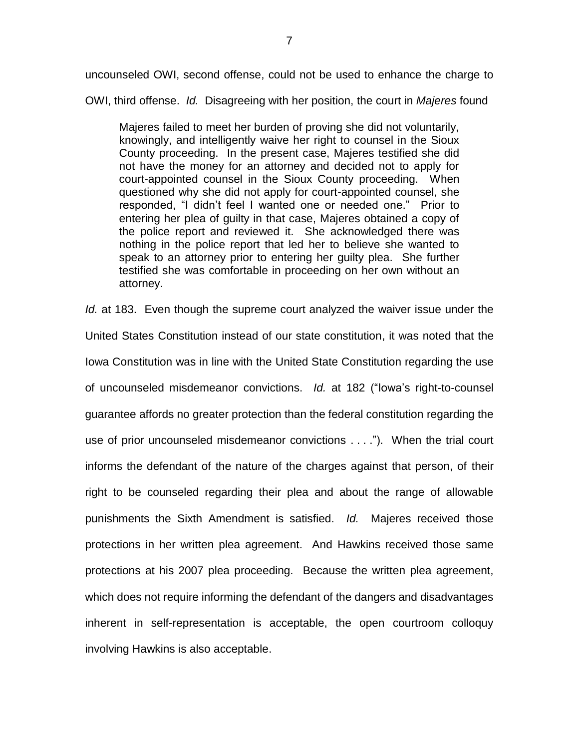uncounseled OWI, second offense, could not be used to enhance the charge to

OWI, third offense. *Id.* Disagreeing with her position, the court in *Majeres* found

Majeres failed to meet her burden of proving she did not voluntarily, knowingly, and intelligently waive her right to counsel in the Sioux County proceeding. In the present case, Majeres testified she did not have the money for an attorney and decided not to apply for court-appointed counsel in the Sioux County proceeding. When questioned why she did not apply for court-appointed counsel, she responded, "I didn't feel I wanted one or needed one." Prior to entering her plea of guilty in that case, Majeres obtained a copy of the police report and reviewed it. She acknowledged there was nothing in the police report that led her to believe she wanted to speak to an attorney prior to entering her guilty plea. She further testified she was comfortable in proceeding on her own without an attorney.

*Id.* at 183. Even though the supreme court analyzed the waiver issue under the United States Constitution instead of our state constitution, it was noted that the Iowa Constitution was in line with the United State Constitution regarding the use of uncounseled misdemeanor convictions. *Id.* at 182 ("Iowa's right-to-counsel guarantee affords no greater protection than the federal constitution regarding the use of prior uncounseled misdemeanor convictions . . . ."). When the trial court informs the defendant of the nature of the charges against that person, of their right to be counseled regarding their plea and about the range of allowable punishments the Sixth Amendment is satisfied. *Id.* Majeres received those protections in her written plea agreement. And Hawkins received those same protections at his 2007 plea proceeding. Because the written plea agreement, which does not require informing the defendant of the dangers and disadvantages inherent in self-representation is acceptable, the open courtroom colloquy involving Hawkins is also acceptable.